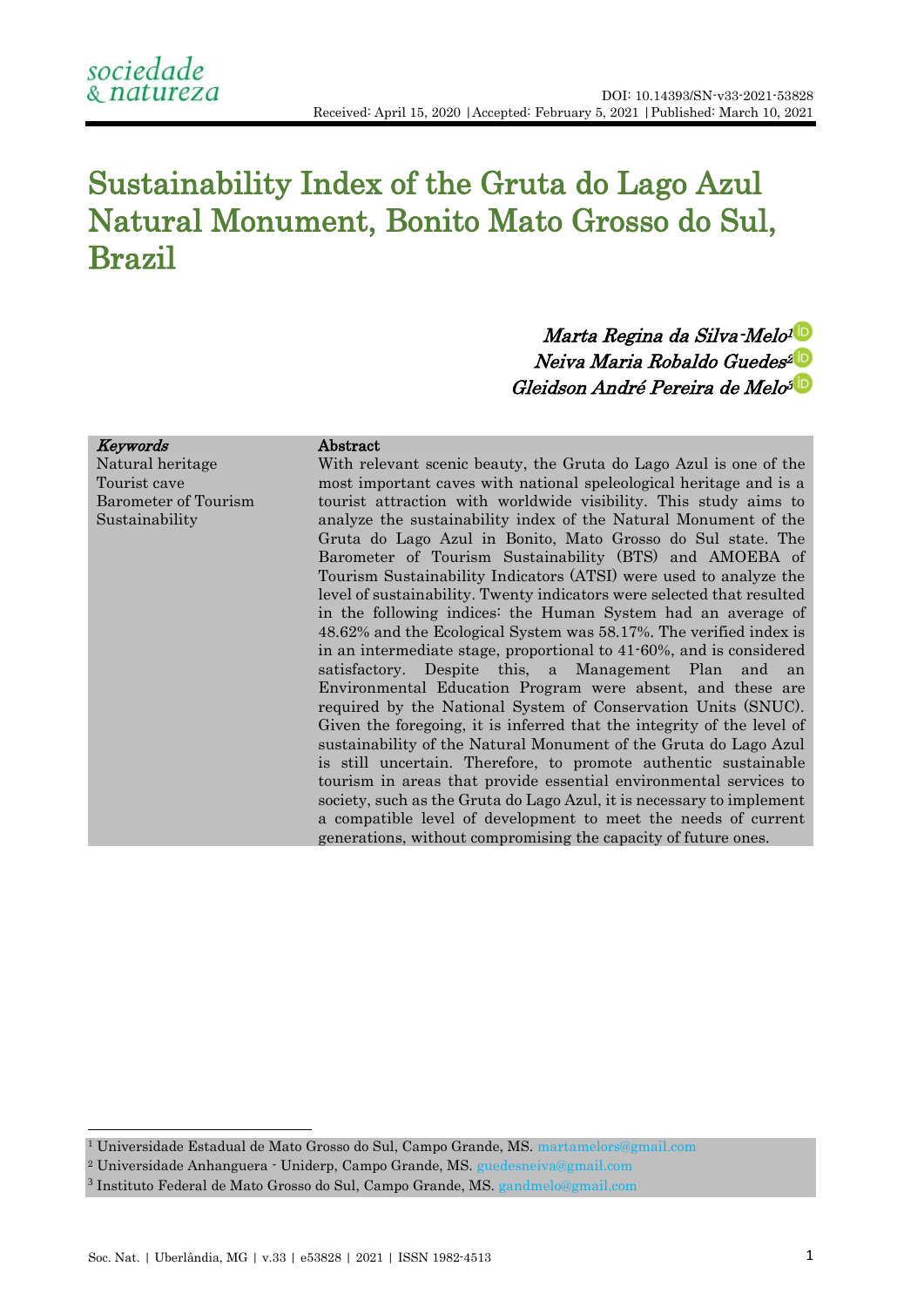# Sustainability Index of the Gruta do Lago Azul Natural Monument, Bonito Mato Grosso do Sul, Brazil

# Marta Regina da Silva-Melo[1](https://orcid.org/0000-0002-5025-5912) Neiva Maria Robaldo Guedes [2](https://orcid.org/0000-0002-2887-133X)Gleidson André Pereira de Melo[3](https://orcid.org/0000-0003-1302-598X)

#### Keywords Natural heritage Tourist cave Barometer of Tourism Sustainability

**.** 

# Abstract

With relevant scenic beauty, the Gruta do Lago Azul is one of the most important caves with national speleological heritage and is a tourist attraction with worldwide visibility. This study aims to analyze the sustainability index of the Natural Monument of the Gruta do Lago Azul in Bonito, Mato Grosso do Sul state. The Barometer of Tourism Sustainability (BTS) and AMOEBA of Tourism Sustainability Indicators (ATSI) were used to analyze the level of sustainability. Twenty indicators were selected that resulted in the following indices: the Human System had an average of 48.62% and the Ecological System was 58.17%. The verified index is in an intermediate stage, proportional to 41-60%, and is considered satisfactory. Despite this, a Management Plan and an Environmental Education Program were absent, and these are required by the National System of Conservation Units (SNUC). Given the foregoing, it is inferred that the integrity of the level of sustainability of the Natural Monument of the Gruta do Lago Azul is still uncertain. Therefore, to promote authentic sustainable tourism in areas that provide essential environmental services to society, such as the Gruta do Lago Azul, it is necessary to implement a compatible level of development to meet the needs of current generations, without compromising the capacity of future ones.

<sup>1</sup> Universidade Estadual de Mato Grosso do Sul, Campo Grande, MS. [martamelors@gmail.com](mailto:martamelors@gmail.com)

<sup>2</sup> Universidade Anhanguera - Uniderp, Campo Grande, MS. [guedesneiva@gmail.com](mailto:guedesneiva@gmail.com)

<sup>&</sup>lt;sup>3</sup> Instituto Federal de Mato Grosso do Sul, Campo Grande, MS. [gandmelo@gmail.com](mailto:gandmelo@gmail.com)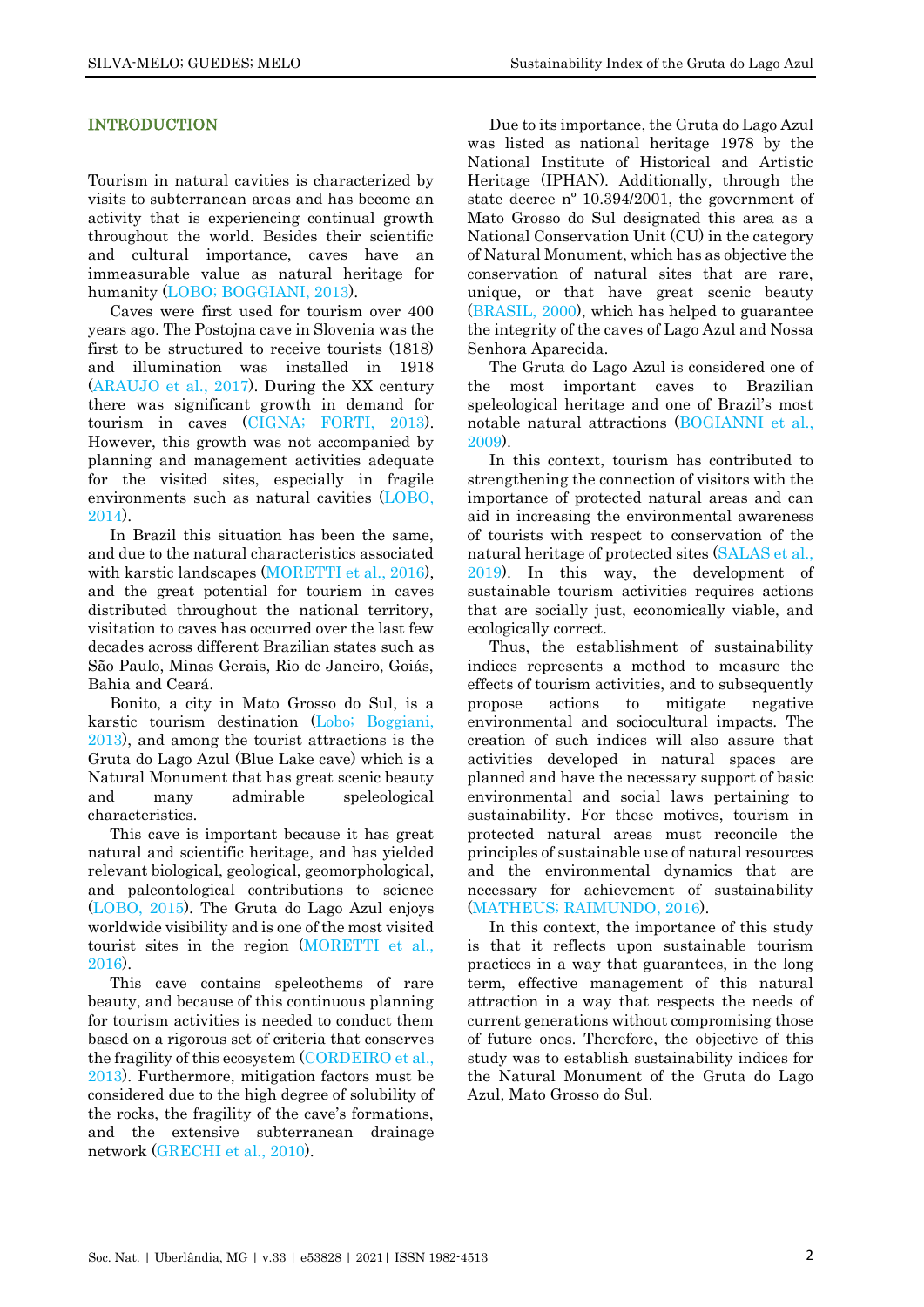# INTRODUCTION

Tourism in natural cavities is characterized by visits to subterranean areas and has become an activity that is experiencing continual growth throughout the world. Besides their scientific and cultural importance, caves have an immeasurable value as natural heritage for humanity (LOBO; [BOGGIANI,](#page-10-0) 2013).

Caves were first used for tourism over 400 years ago. The Postojna cave in Slovenia was the first to be structured to receive tourists (1818) and illumination was installed in 1918 [\(ARAUJO et al., 2017\)](#page-9-0). During the XX century there was significant growth in demand for tourism in caves (CIGNA; [FORTI, 2013\)](#page-10-1). However, this growth was not accompanied by planning and management activities adequate for the visited sites, especially in fragile environments such as natural cavities [\(LOBO,](#page-10-2)  [2014\)](#page-10-2).

In Brazil this situation has been the same, and due to the natural characteristics associated with karstic landscapes [\(MORETTI et al., 2016\)](#page-10-3), and the great potential for tourism in caves distributed throughout the national territory, visitation to caves has occurred over the last few decades across different Brazilian states such as São Paulo, Minas Gerais, Rio de Janeiro, Goiás, Bahia and Ceará.

Bonito, a city in Mato Grosso do Sul, is a karstic tourism destination (Lobo; [Boggiani,](#page-10-4)  [2013\)](#page-10-4), and among the tourist attractions is the Gruta do Lago Azul (Blue Lake cave) which is a Natural Monument that has great scenic beauty and many admirable speleological characteristics.

This cave is important because it has great natural and scientific heritage, and has yielded relevant biological, geological, geomorphological, and paleontological contributions to science [\(LOBO, 2015\)](#page-10-5). The Gruta do Lago Azul enjoys worldwide visibility and is one of the most visited tourist sites in the region [\(MORETTI et al.,](#page-10-3)  [2016\)](#page-10-3).

This cave contains speleothems of rare beauty, and because of this continuous planning for tourism activities is needed to conduct them based on a rigorous set of criteria that conserves the fragility of this ecosystem [\(CORDEIRO et al.,](#page-10-6)  [2013\)](#page-10-6). Furthermore, mitigation factors must be considered due to the high degree of solubility of the rocks, the fragility of the cave's formations, and the extensive subterranean drainage network [\(GRECHI et al., 2010\)](#page-10-7).

Due to its importance, the Gruta do Lago Azul was listed as national heritage 1978 by the National Institute of Historical and Artistic Heritage (IPHAN). Additionally, through the state decree nº 10.394/2001, the government of Mato Grosso do Sul designated this area as a National Conservation Unit (CU) in the category of Natural Monument, which has as objective the conservation of natural sites that are rare, unique, or that have great scenic beauty [\(BRASIL, 2000\)](#page-9-1), which has helped to guarantee the integrity of the caves of Lago Azul and Nossa Senhora Aparecida.

The Gruta do Lago Azul is considered one of the most important caves to Brazilian speleological heritage and one of Brazil's most notable natural attractions [\(BOGIANNI](#page-10-8) et al., [2009\)](#page-10-8).

In this context, tourism has contributed to strengthening the connection of visitors with the importance of protected natural areas and can aid in increasing the environmental awareness of tourists with respect to conservation of the natural heritage of protected sites [\(SALAS et al.,](#page-11-0)  [2019\)](#page-11-0). In this way, the development of sustainable tourism activities requires actions that are socially just, economically viable, and ecologically correct.

Thus, the establishment of sustainability indices represents a method to measure the effects of tourism activities, and to subsequently propose actions to mitigate negative environmental and sociocultural impacts. The creation of such indices will also assure that activities developed in natural spaces are planned and have the necessary support of basic environmental and social laws pertaining to sustainability. For these motives, tourism in protected natural areas must reconcile the principles of sustainable use of natural resources and the environmental dynamics that are necessary for achievement of sustainability (MATHEUS; [RAIMUNDO, 2016](#page-10-9)).

In this context, the importance of this study is that it reflects upon sustainable tourism practices in a way that guarantees, in the long term, effective management of this natural attraction in a way that respects the needs of current generations without compromising those of future ones. Therefore, the objective of this study was to establish sustainability indices for the Natural Monument of the Gruta do Lago Azul, Mato Grosso do Sul.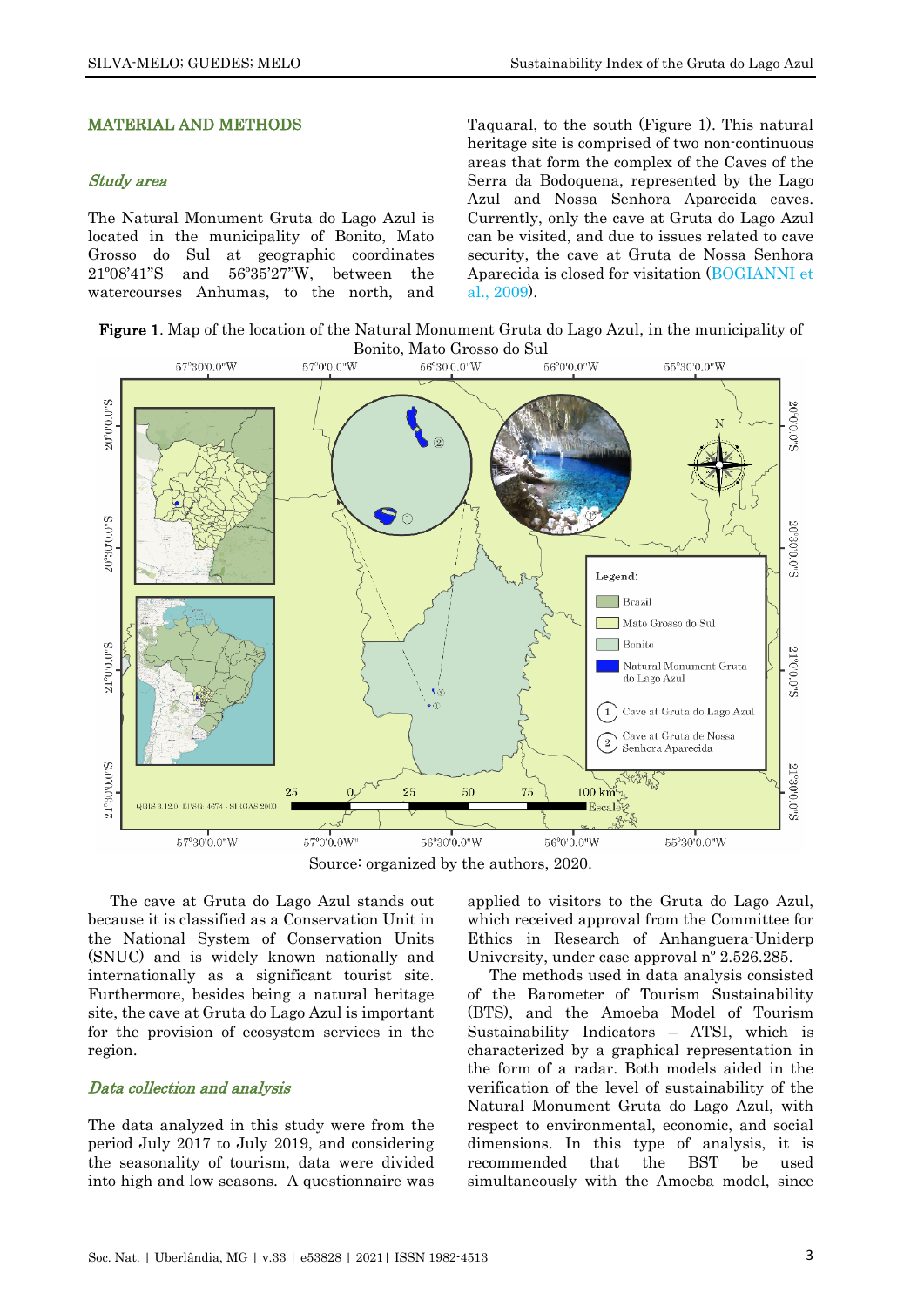#### MATERIAL AND METHODS

#### Study area

The Natural Monument Gruta do Lago Azul is located in the municipality of Bonito, Mato Grosso do Sul at geographic coordinates 21º08'41''S and 56º35'27''W, between the watercourses Anhumas, to the north, and Taquaral, to the south (Figure 1). This natural heritage site is comprised of two non-continuous areas that form the complex of the Caves of the Serra da Bodoquena, represented by the Lago Azul and Nossa Senhora Aparecida caves. Currently, only the cave at Gruta do Lago Azul can be visited, and due to issues related to cave security, the cave at Gruta de Nossa Senhora Aparecida is closed for visitation [\(BOGIANNI](#page-10-8) et al., [2009\)](#page-10-8).

Figure 1. Map of the location of the Natural Monument Gruta do Lago Azul, in the municipality of Bonito, Mato Grosso do Sul



Source: organized by the authors, 2020.

The cave at Gruta do Lago Azul stands out because it is classified as a Conservation Unit in the National System of Conservation Units (SNUC) and is widely known nationally and internationally as a significant tourist site. Furthermore, besides being a natural heritage site, the cave at Gruta do Lago Azul is important for the provision of ecosystem services in the region.

#### Data collection and analysis

The data analyzed in this study were from the period July 2017 to July 2019, and considering the seasonality of tourism, data were divided into high and low seasons. A questionnaire was

applied to visitors to the Gruta do Lago Azul, which received approval from the Committee for Ethics in Research of Anhanguera-Uniderp University, under case approval nº 2.526.285.

The methods used in data analysis consisted of the Barometer of Tourism Sustainability (BTS), and the Amoeba Model of Tourism Sustainability Indicators – ATSI, which is characterized by a graphical representation in the form of a radar. Both models aided in the verification of the level of sustainability of the Natural Monument Gruta do Lago Azul, with respect to environmental, economic, and social dimensions. In this type of analysis, it is recommended that the BST be used simultaneously with the Amoeba model, since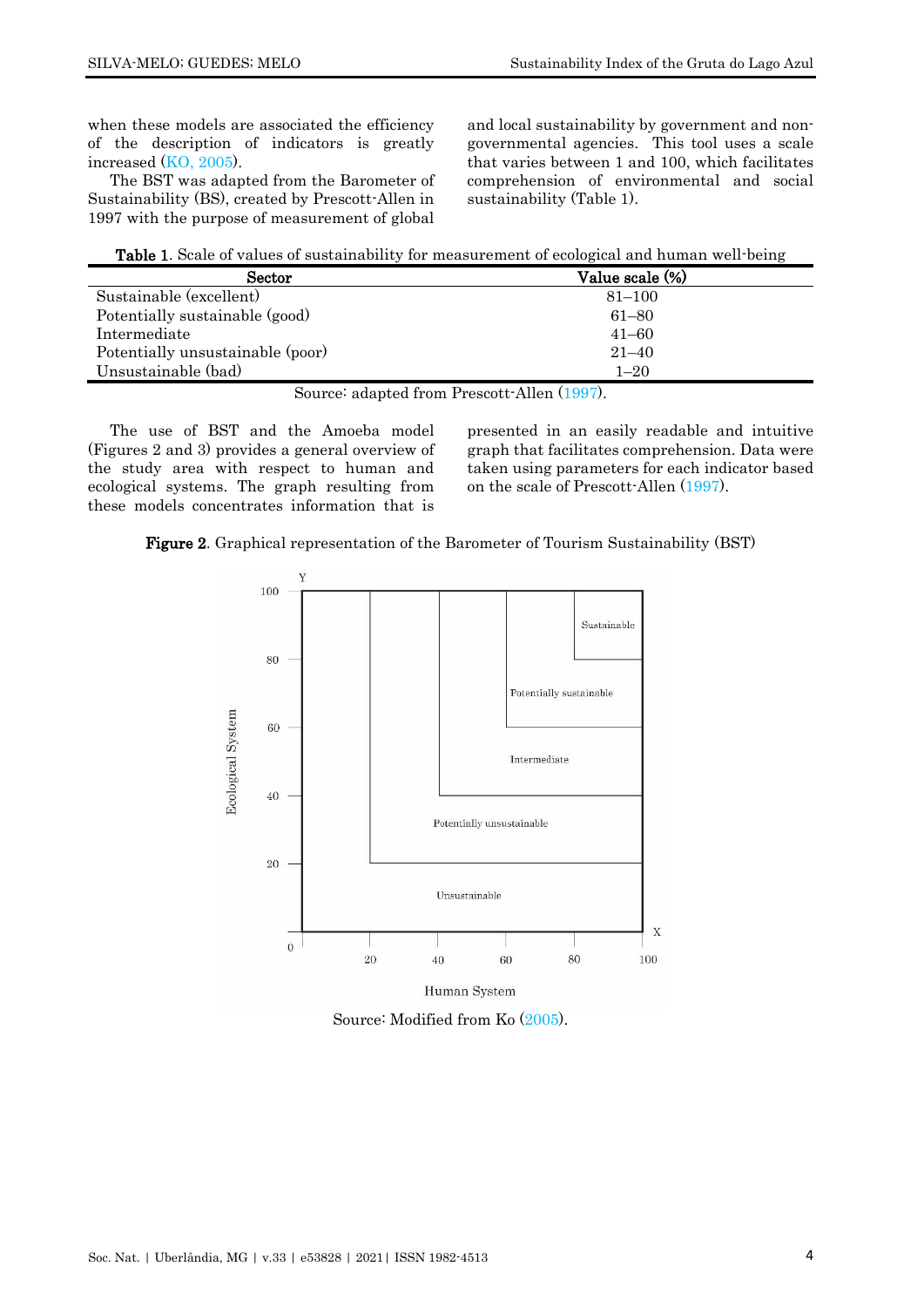when these models are associated the efficiency of the description of indicators is greatly increased (KO, [2005\)](#page-10-10).

The BST was adapted from the Barometer of Sustainability (BS), created by Prescott-Allen in 1997 with the purpose of measurement of global

and local sustainability by government and nongovernmental agencies. This tool uses a scale that varies between 1 and 100, which facilitates comprehension of environmental and social sustainability (Table 1).

| Table 1. Scale of values of sustainability for measurement of ecological and human well-being |  |
|-----------------------------------------------------------------------------------------------|--|
|-----------------------------------------------------------------------------------------------|--|

| Sector                           | Value scale (%) |
|----------------------------------|-----------------|
| Sustainable (excellent)          | $81 - 100$      |
| Potentially sustainable (good)   | $61 - 80$       |
| Intermediate                     | $41 - 60$       |
| Potentially unsustainable (poor) | $21 - 40$       |
| Unsustainable (bad)              | $1 - 20$        |

Source: adapted from Prescott-Allen [\(1997\)](#page-11-1).

The use of BST and the Amoeba model (Figures 2 and 3) provides a general overview of the study area with respect to human and ecological systems. The graph resulting from these models concentrates information that is

presented in an easily readable and intuitive graph that facilitates comprehension. Data were taken using parameters for each indicator based on the scale of Prescott-Allen [\(1997\)](#page-11-1).





Source: Modified from Ko [\(2005\)](#page-10-10).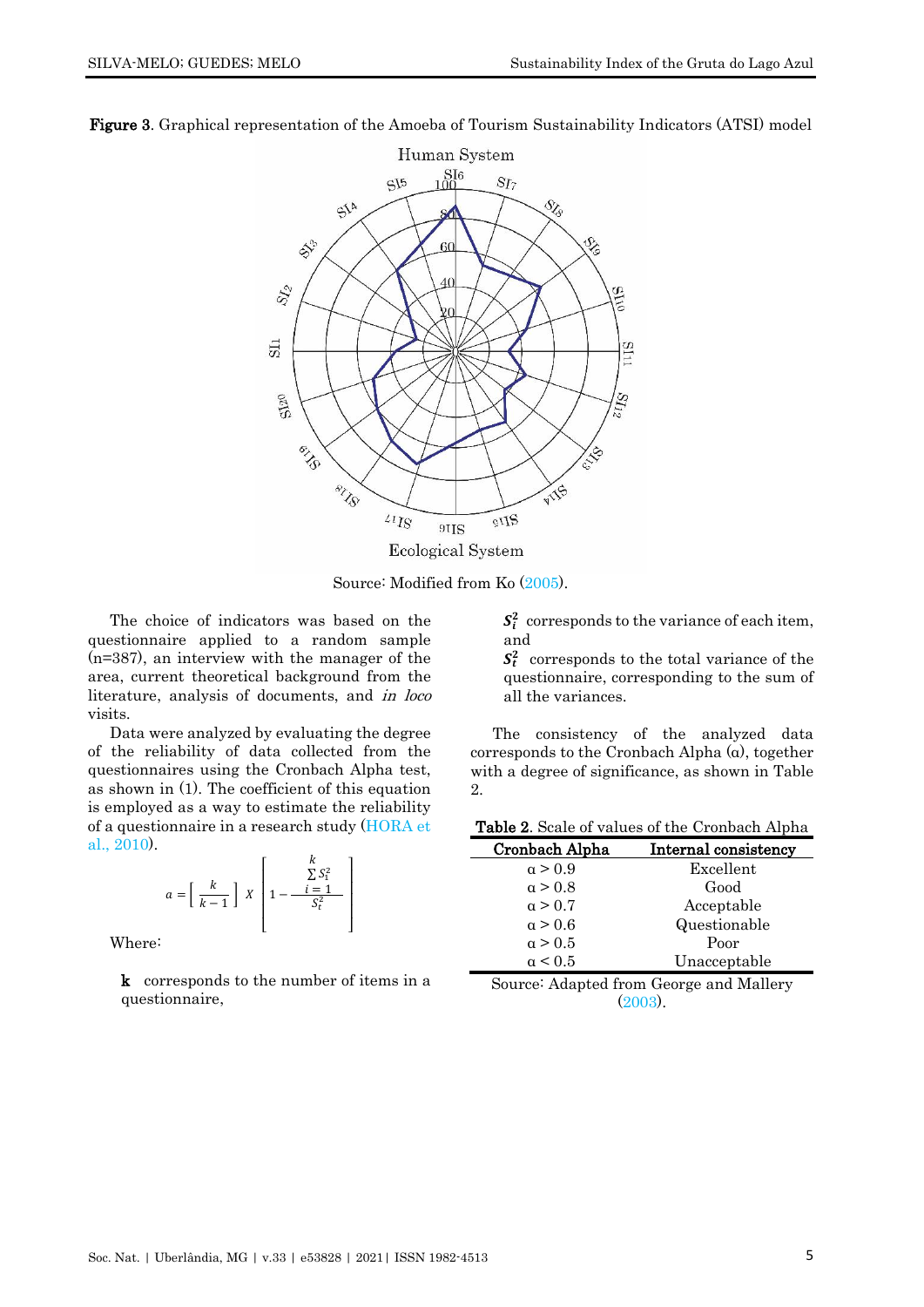

Figure 3. Graphical representation of the Amoeba of Tourism Sustainability Indicators (ATSI) model

Source: Modified from Ko [\(2005\)](#page-10-10).

The choice of indicators was based on the questionnaire applied to a random sample (n=387), an interview with the manager of the area, current theoretical background from the literature, analysis of documents, and in loco visits.

Data were analyzed by evaluating the degree of the reliability of data collected from the questionnaires using the Cronbach Alpha test, as shown in (1). The coefficient of this equation is employed as a way to estimate the reliability of a questionnaire in a research study [\(HORA](#page-10-11) et al., [2010\)](#page-10-11).

$$
a = \left[\begin{array}{c} k \\ k-1 \end{array}\right] \ X \left[1 - \frac{\sum S_1^2}{S_t^2}\right]
$$

Where:

k corresponds to the number of items in a questionnaire,

 $S_i^2$  corresponds to the variance of each item, and

 $S_t^2$  corresponds to the total variance of the questionnaire, corresponding to the sum of all the variances.

The consistency of the analyzed data corresponds to the Cronbach Alpha (α), together with a degree of significance, as shown in Table 2.

|  |  |  |  | Table 2. Scale of values of the Cronbach Alpha |
|--|--|--|--|------------------------------------------------|
|--|--|--|--|------------------------------------------------|

| Cronbach Alpha | <b>Internal consistency</b> |
|----------------|-----------------------------|
| $\alpha > 0.9$ | Excellent                   |
| $\alpha > 0.8$ | Good                        |
| $\alpha > 0.7$ | Acceptable                  |
| $\alpha > 0.6$ | Questionable                |
| $\alpha > 0.5$ | Poor                        |
| $\alpha$ < 0.5 | Unacceptable                |

Source: Adapted from George and Mallery [\(2003\)](#page-10-12).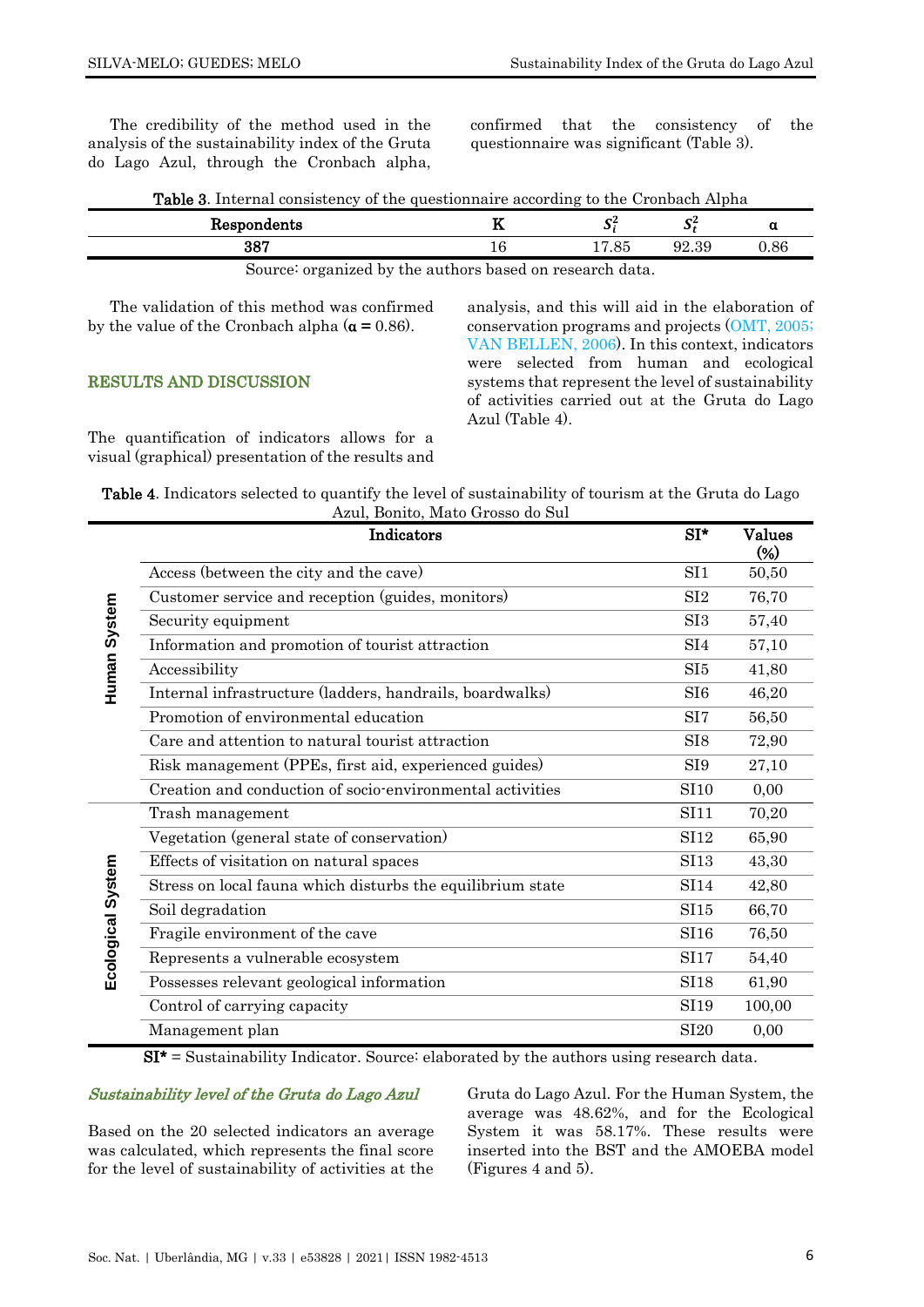The credibility of the method used in the analysis of the sustainability index of the Gruta do Lago Azul, through the Cronbach alpha, confirmed that the consistency of the questionnaire was significant (Table 3).

| <b>Table 3.</b> Internal consistency of the questionnaire according to the Cronbach Alpha |  |  |
|-------------------------------------------------------------------------------------------|--|--|
|-------------------------------------------------------------------------------------------|--|--|

| Respondents                                             | -- |         |       |      |
|---------------------------------------------------------|----|---------|-------|------|
| הספ                                                     |    | ಂ<br>οē | 92.39 | 1.86 |
| Source: organized by the outbors based on research data |    |         |       |      |

Source: organized by the authors based on research data.

The validation of this method was confirmed by the value of the Cronbach alpha  $(\alpha = 0.86)$ .

#### RESULTS AND DISCUSSION

The quantification of indicators allows for a visual (graphical) presentation of the results and analysis, and this will aid in the elaboration of conservation programs and projects [\(OMT, 2005;](#page-11-2) [VAN BELLEN, 2006\)](#page-11-3). In this context, indicators were selected from human and ecological systems that represent the level of sustainability of activities carried out at the Gruta do Lago Azul (Table 4).

| <b>Table 4.</b> Indicators selected to quantify the level of sustainability of tourism at the Gruta do Lago |  |
|-------------------------------------------------------------------------------------------------------------|--|
| Azul, Bonito, Mato Grosso do Sul                                                                            |  |

|                   | Indicators                                                 | $SI^*$           | <b>Values</b><br>$(\%)$ |
|-------------------|------------------------------------------------------------|------------------|-------------------------|
|                   | Access (between the city and the cave)                     | SI <sub>1</sub>  | 50,50                   |
|                   | Customer service and reception (guides, monitors)          | SI2              | 76,70                   |
|                   | Security equipment                                         | SI <sub>3</sub>  | 57,40                   |
|                   | Information and promotion of tourist attraction            | SI4              | 57,10                   |
| Human System      | Accessibility                                              | SI <sub>5</sub>  | 41,80                   |
|                   | Internal infrastructure (ladders, handrails, boardwalks)   | SI <sub>6</sub>  | 46,20                   |
|                   | Promotion of environmental education                       | SI <sub>7</sub>  | 56,50                   |
|                   | Care and attention to natural tourist attraction           | SI <sub>8</sub>  | 72,90                   |
|                   | Risk management (PPEs, first aid, experienced guides)      | SI <sub>9</sub>  | 27,10                   |
|                   | Creation and conduction of socio-environmental activities  | <b>SI10</b>      | 0,00                    |
|                   | Trash management                                           | S <sub>111</sub> | 70,20                   |
|                   | Vegetation (general state of conservation)                 | SI12             | 65,90                   |
|                   | Effects of visitation on natural spaces                    | <b>SI13</b>      | 43,30                   |
|                   | Stress on local fauna which disturbs the equilibrium state | <b>SI14</b>      | 42,80                   |
|                   | Soil degradation                                           | SI15             | 66,70                   |
|                   | Fragile environment of the cave                            | SI16             | 76,50                   |
| Ecological System | Represents a vulnerable ecosystem                          | <b>SI17</b>      | 54,40                   |
|                   | Possesses relevant geological information                  | <b>SI18</b>      | 61,90                   |
|                   | Control of carrying capacity                               | SI19             | 100,00                  |
|                   | Management plan                                            | <b>SI20</b>      | 0,00                    |

 $SI^*$  = Sustainability Indicator. Source: elaborated by the authors using research data.

# Sustainability level of the Gruta do Lago Azul

Based on the 20 selected indicators an average was calculated, which represents the final score for the level of sustainability of activities at the

Gruta do Lago Azul. For the Human System, the average was 48.62%, and for the Ecological System it was 58.17%. These results were inserted into the BST and the AMOEBA model (Figures 4 and 5).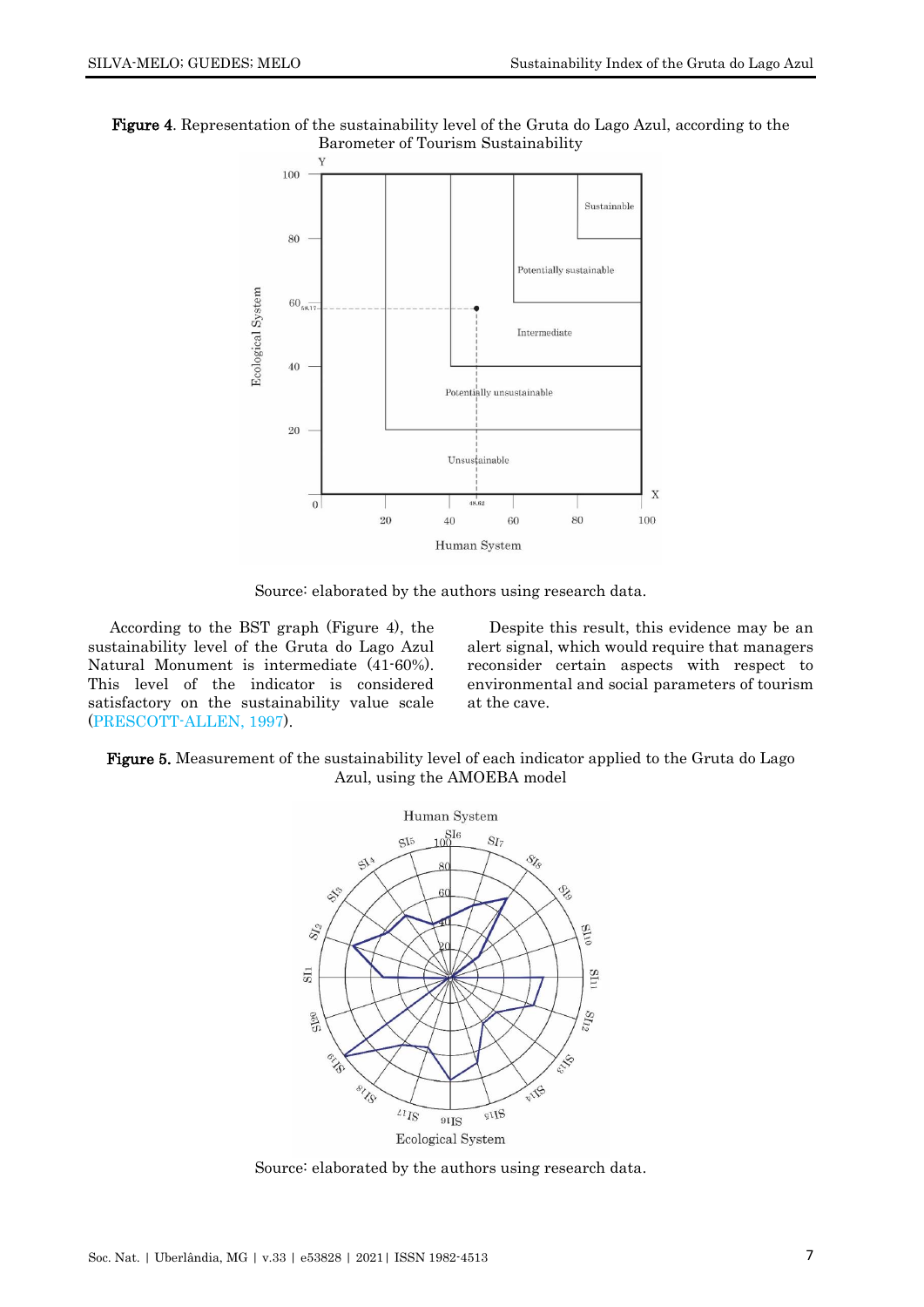



Source: elaborated by the authors using research data.

According to the BST graph (Figure 4), the sustainability level of the Gruta do Lago Azul Natural Monument is intermediate (41-60%). This level of the indicator is considered satisfactory on the sustainability value scale [\(PRESCOTT-ALLEN, 1997\)](#page-11-1).

Despite this result, this evidence may be an alert signal, which would require that managers reconsider certain aspects with respect to environmental and social parameters of tourism at the cave.

#### Figure 5. Measurement of the sustainability level of each indicator applied to the Gruta do Lago Azul, using the AMOEBA model



Source: elaborated by the authors using research data.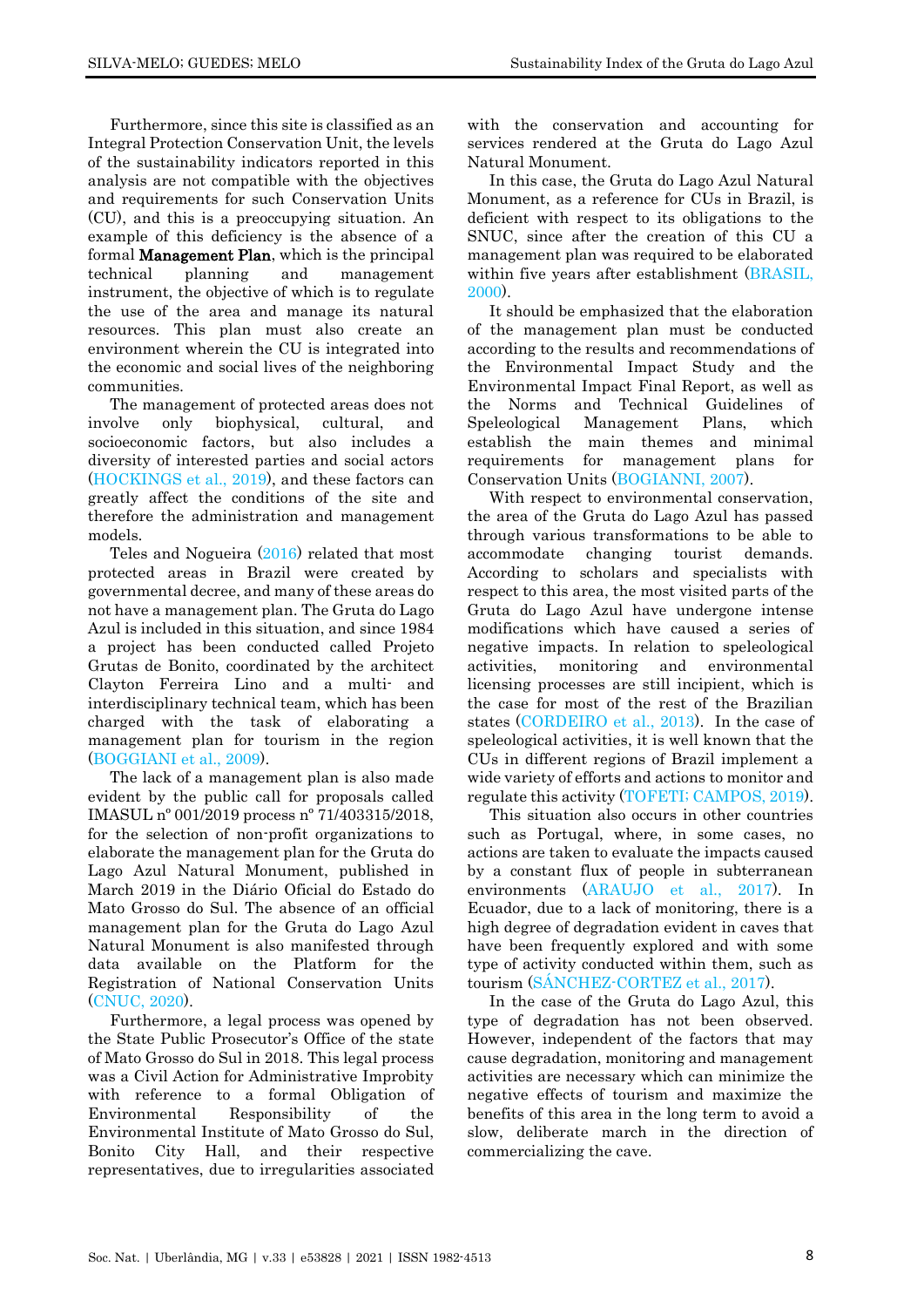Furthermore, since this site is classified as an Integral Protection Conservation Unit, the levels of the sustainability indicators reported in this analysis are not compatible with the objectives and requirements for such Conservation Units (CU), and this is a preoccupying situation. An example of this deficiency is the absence of a formal Management Plan, which is the principal technical planning and management instrument, the objective of which is to regulate the use of the area and manage its natural resources. This plan must also create an environment wherein the CU is integrated into the economic and social lives of the neighboring communities.

The management of protected areas does not involve only biophysical, cultural, and socioeconomic factors, but also includes a diversity of interested parties and social actors [\(HOCKINGS et al., 2019\)](#page-10-13), and these factors can greatly affect the conditions of the site and therefore the administration and management models.

Teles and Nogueira [\(2016\)](#page-11-4) related that most protected areas in Brazil were created by governmental decree, and many of these areas do not have a management plan. The Gruta do Lago Azul is included in this situation, and since 1984 a project has been conducted called Projeto Grutas de Bonito, coordinated by the architect Clayton Ferreira Lino and a multi- and interdisciplinary technical team, which has been charged with the task of elaborating a management plan for tourism in the region [\(BOGGIANI et al., 2009\)](#page-10-8).

The lack of a management plan is also made evident by the public call for proposals called IMASUL nº 001/2019 process nº 71/403315/2018, for the selection of non-profit organizations to elaborate the management plan for the Gruta do Lago Azul Natural Monument, published in March 2019 in the Diário Oficial do Estado do Mato Grosso do Sul. The absence of an official management plan for the Gruta do Lago Azul Natural Monument is also manifested through data available on the Platform for the Registration of National Conservation Units [\(CNUC, 2020\)](#page-10-14).

Furthermore, a legal process was opened by the State Public Prosecutor's Office of the state of Mato Grosso do Sul in 2018. This legal process was a Civil Action for Administrative Improbity with reference to a formal Obligation of Environmental Responsibility of the Environmental Institute of Mato Grosso do Sul, Bonito City Hall, and their respective representatives, due to irregularities associated

with the conservation and accounting for services rendered at the Gruta do Lago Azul Natural Monument.

In this case, the Gruta do Lago Azul Natural Monument, as a reference for CUs in Brazil, is deficient with respect to its obligations to the SNUC, since after the creation of this CU a management plan was required to be elaborated within five years after establishment [\(BRASIL,](#page-9-1)  [2000\)](#page-9-1).

It should be emphasized that the elaboration of the management plan must be conducted according to the results and recommendations of the Environmental Impact Study and the Environmental Impact Final Report, as well as the Norms and Technical Guidelines of Speleological Management Plans, which establish the main themes and minimal requirements for management plans for Conservation Units [\(BOGIANNI, 2007\)](#page-10-15).

With respect to environmental conservation, the area of the Gruta do Lago Azul has passed through various transformations to be able to accommodate changing tourist demands. According to scholars and specialists with respect to this area, the most visited parts of the Gruta do Lago Azul have undergone intense modifications which have caused a series of negative impacts. In relation to speleological activities, monitoring and environmental licensing processes are still incipient, which is the case for most of the rest of the Brazilian states [\(CORDEIRO et al., 2013\)](#page-10-6). In the case of speleological activities, it is well known that the CUs in different regions of Brazil implement a wide variety of efforts and actions to monitor and regulate this activity [\(TOFETI; CAMPOS, 2019\)](#page-11-5).

This situation also occurs in other countries such as Portugal, where, in some cases, no actions are taken to evaluate the impacts caused by a constant flux of people in subterranean environments [\(ARAUJO et al., 2017\)](#page-9-0). In Ecuador, due to a lack of monitoring, there is a high degree of degradation evident in caves that have been frequently explored and with some type of activity conducted within them, such as tourism [\(SÁNCHEZ-CORTEZ et al., 2017\)](#page-11-6).

In the case of the Gruta do Lago Azul, this type of degradation has not been observed. However, independent of the factors that may cause degradation, monitoring and management activities are necessary which can minimize the negative effects of tourism and maximize the benefits of this area in the long term to avoid a slow, deliberate march in the direction of commercializing the cave.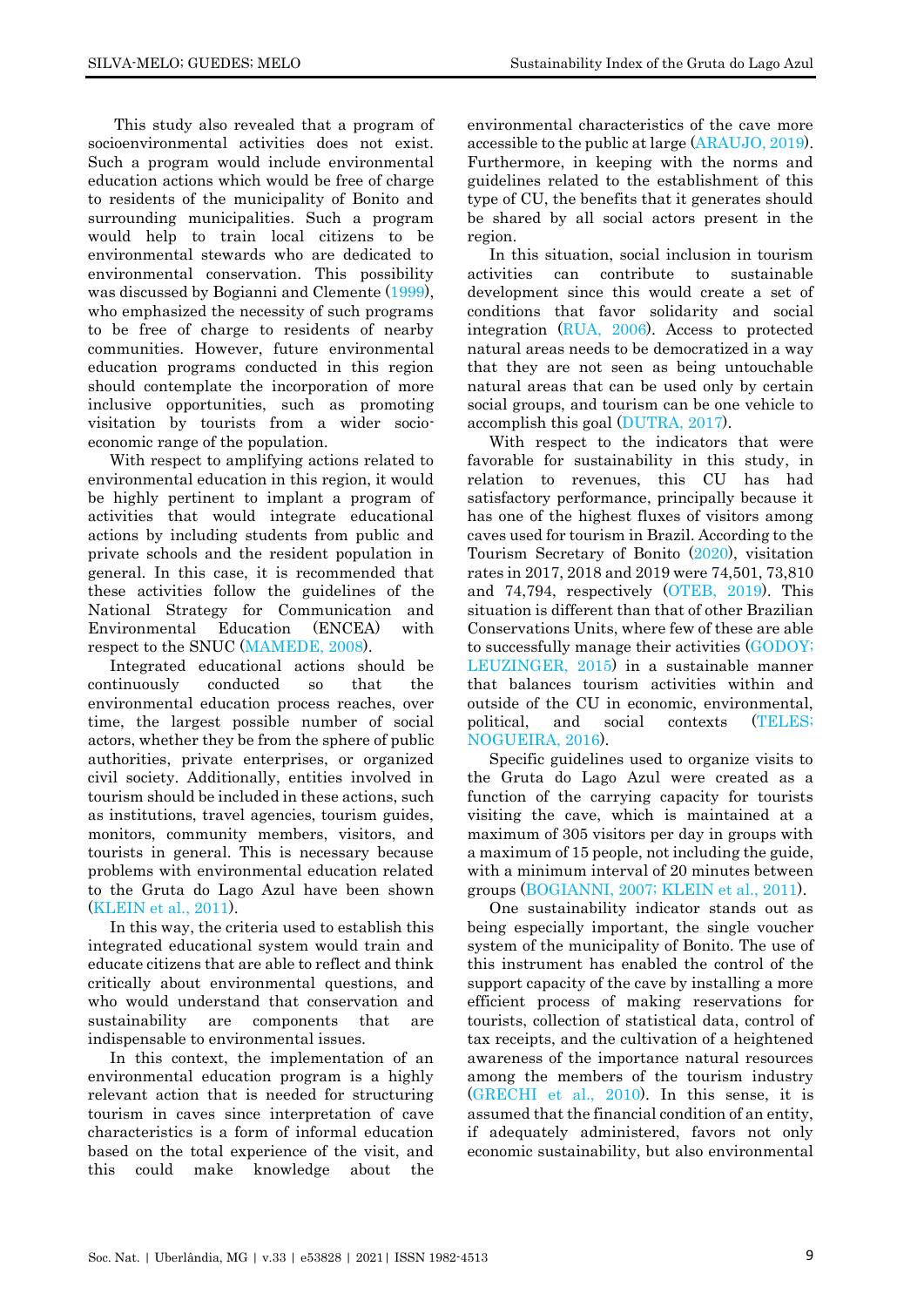This study also revealed that a program of socioenvironmental activities does not exist. Such a program would include environmental education actions which would be free of charge to residents of the municipality of Bonito and surrounding municipalities. Such a program would help to train local citizens to be environmental stewards who are dedicated to environmental conservation. This possibility was discussed by Bogianni and Clemente [\(1999\)](#page-10-16), who emphasized the necessity of such programs to be free of charge to residents of nearby communities. However, future environmental education programs conducted in this region should contemplate the incorporation of more inclusive opportunities, such as promoting visitation by tourists from a wider socioeconomic range of the population.

With respect to amplifying actions related to environmental education in this region, it would be highly pertinent to implant a program of activities that would integrate educational actions by including students from public and private schools and the resident population in general. In this case, it is recommended that these activities follow the guidelines of the National Strategy for Communication and Environmental Education (ENCEA) with respect to the SNUC [\(MAMEDE, 2008\)](#page-10-17).

Integrated educational actions should be continuously conducted so that the environmental education process reaches, over time, the largest possible number of social actors, whether they be from the sphere of public authorities, private enterprises, or organized civil society. Additionally, entities involved in tourism should be included in these actions, such as institutions, travel agencies, tourism guides, monitors, community members, visitors, and tourists in general. This is necessary because problems with environmental education related to the Gruta do Lago Azul have been shown [\(KLEIN et al., 2011\)](#page-10-18).

In this way, the criteria used to establish this integrated educational system would train and educate citizens that are able to reflect and think critically about environmental questions, and who would understand that conservation and sustainability are components that are indispensable to environmental issues.

In this context, the implementation of an environmental education program is a highly relevant action that is needed for structuring tourism in caves since interpretation of cave characteristics is a form of informal education based on the total experience of the visit, and this could make knowledge about the

environmental characteristics of the cave more accessible to the public at large [\(ARAUJO, 2019\)](#page-9-2). Furthermore, in keeping with the norms and guidelines related to the establishment of this type of CU, the benefits that it generates should be shared by all social actors present in the region.

In this situation, social inclusion in tourism activities can contribute to sustainable development since this would create a set of conditions that favor solidarity and social integration [\(RUA, 2006\)](#page-11-7). Access to protected natural areas needs to be democratized in a way that they are not seen as being untouchable natural areas that can be used only by certain social groups, and tourism can be one vehicle to accomplish this goal [\(DUTRA, 2017\)](#page-10-19).

With respect to the indicators that were favorable for sustainability in this study, in relation to revenues, this CU has had satisfactory performance, principally because it has one of the highest fluxes of visitors among caves used for tourism in Brazil. According to the Tourism Secretary of Bonito [\(2020\)](#page-11-8), visitation rates in 2017, 2018 and 2019 were 74,501, 73,810 and 74,794, respectively [\(OTEB, 2019\)](#page-11-9). This situation is different than that of other Brazilian Conservations Units, where few of these are able to successfully manage their activities [\(GODOY;](#page-10-20)  [LEUZINGER, 2015\)](#page-10-20) in a sustainable manner that balances tourism activities within and outside of the CU in economic, environmental, political, and social contexts [\(TELES;](#page-11-4) [NOGUEIRA, 2016\)](#page-11-4).

Specific guidelines used to organize visits to the Gruta do Lago Azul were created as a function of the carrying capacity for tourists visiting the cave, which is maintained at a maximum of 305 visitors per day in groups with a maximum of 15 people, not including the guide, with a minimum interval of 20 minutes between groups [\(BOGIANNI, 2007;](#page-10-15) [KLEIN et al., 2011\)](#page-10-18).

One sustainability indicator stands out as being especially important, the single voucher system of the municipality of Bonito. The use of this instrument has enabled the control of the support capacity of the cave by installing a more efficient process of making reservations for tourists, collection of statistical data, control of tax receipts, and the cultivation of a heightened awareness of the importance natural resources among the members of the tourism industry [\(GRECHI et al., 2010\)](#page-10-7). In this sense, it is assumed that the financial condition of an entity, if adequately administered, favors not only economic sustainability, but also environmental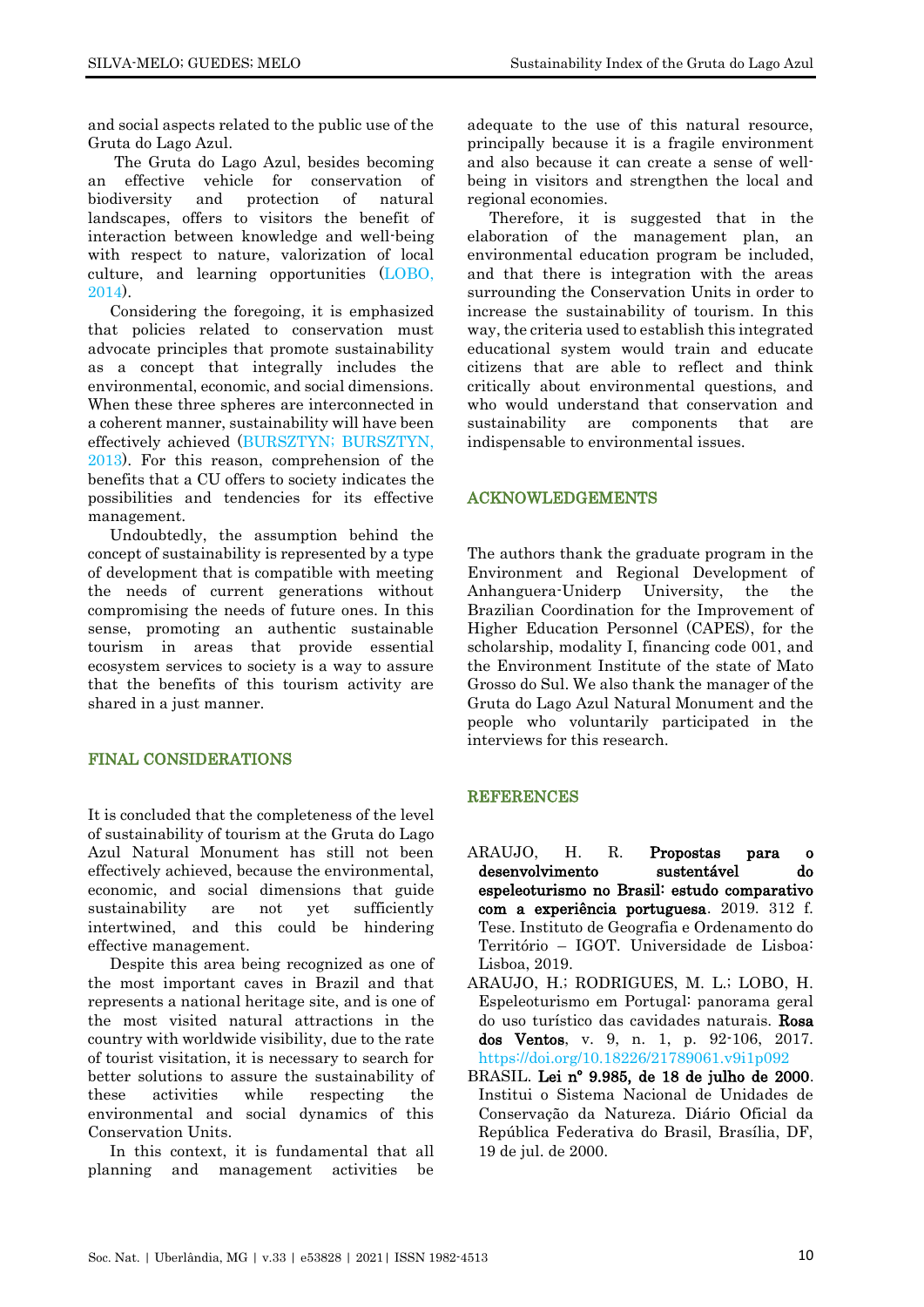and social aspects related to the public use of the Gruta do Lago Azul.

The Gruta do Lago Azul, besides becoming an effective vehicle for conservation of biodiversity and protection of natural landscapes, offers to visitors the benefit of interaction between knowledge and well-being with respect to nature, valorization of local culture, and learning opportunities [\(LOBO,](#page-10-2)  [2014\)](#page-10-2).

Considering the foregoing, it is emphasized that policies related to conservation must advocate principles that promote sustainability as a concept that integrally includes the environmental, economic, and social dimensions. When these three spheres are interconnected in a coherent manner, sustainability will have been effectively achieved [\(BURSZTYN;](#page-10-21) BURSZTYN, [2013\)](#page-10-21). For this reason, comprehension of the benefits that a CU offers to society indicates the possibilities and tendencies for its effective management.

Undoubtedly, the assumption behind the concept of sustainability is represented by a type of development that is compatible with meeting the needs of current generations without compromising the needs of future ones. In this sense, promoting an authentic sustainable tourism in areas that provide essential ecosystem services to society is a way to assure that the benefits of this tourism activity are shared in a just manner.

# FINAL CONSIDERATIONS

It is concluded that the completeness of the level of sustainability of tourism at the Gruta do Lago Azul Natural Monument has still not been effectively achieved, because the environmental, economic, and social dimensions that guide sustainability are not yet sufficiently intertwined, and this could be hindering effective management.

Despite this area being recognized as one of the most important caves in Brazil and that represents a national heritage site, and is one of the most visited natural attractions in the country with worldwide visibility, due to the rate of tourist visitation, it is necessary to search for better solutions to assure the sustainability of these activities while respecting the environmental and social dynamics of this Conservation Units.

In this context, it is fundamental that all planning and management activities be

adequate to the use of this natural resource, principally because it is a fragile environment and also because it can create a sense of wellbeing in visitors and strengthen the local and regional economies.

Therefore, it is suggested that in the elaboration of the management plan, an environmental education program be included, and that there is integration with the areas surrounding the Conservation Units in order to increase the sustainability of tourism. In this way, the criteria used to establish this integrated educational system would train and educate citizens that are able to reflect and think critically about environmental questions, and who would understand that conservation and sustainability are components that are indispensable to environmental issues.

#### ACKNOWLEDGEMENTS

The authors thank the graduate program in the Environment and Regional Development of Anhanguera-Uniderp University, the the Brazilian Coordination for the Improvement of Higher Education Personnel (CAPES), for the scholarship, modality I, financing code 001, and the Environment Institute of the state of Mato Grosso do Sul. We also thank the manager of the Gruta do Lago Azul Natural Monument and the people who voluntarily participated in the interviews for this research.

# REFERENCES

- <span id="page-9-2"></span>ARAUJO, H. R. Propostas para o desenvolvimento sustentável do espeleoturismo no Brasil: estudo comparativo com a experiência portuguesa. 2019. 312 f. Tese. Instituto de Geografia e Ordenamento do Território – IGOT. Universidade de Lisboa: Lisboa, 2019.
- <span id="page-9-0"></span>ARAUJO, H.; RODRIGUES, M. L.; LOBO, H. Espeleoturismo em Portugal: panorama geral do uso turístico das cavidades naturais. Rosa dos Ventos, v. 9, n. 1, p. 92-106, 2017. <https://doi.org/10.18226/21789061.v9i1p092>
- <span id="page-9-1"></span>BRASIL. Lei nº 9.985, de 18 de julho de 2000. Institui o Sistema Nacional de Unidades de Conservação da Natureza. Diário Oficial da República Federativa do Brasil, Brasília, DF, 19 de jul. de 2000.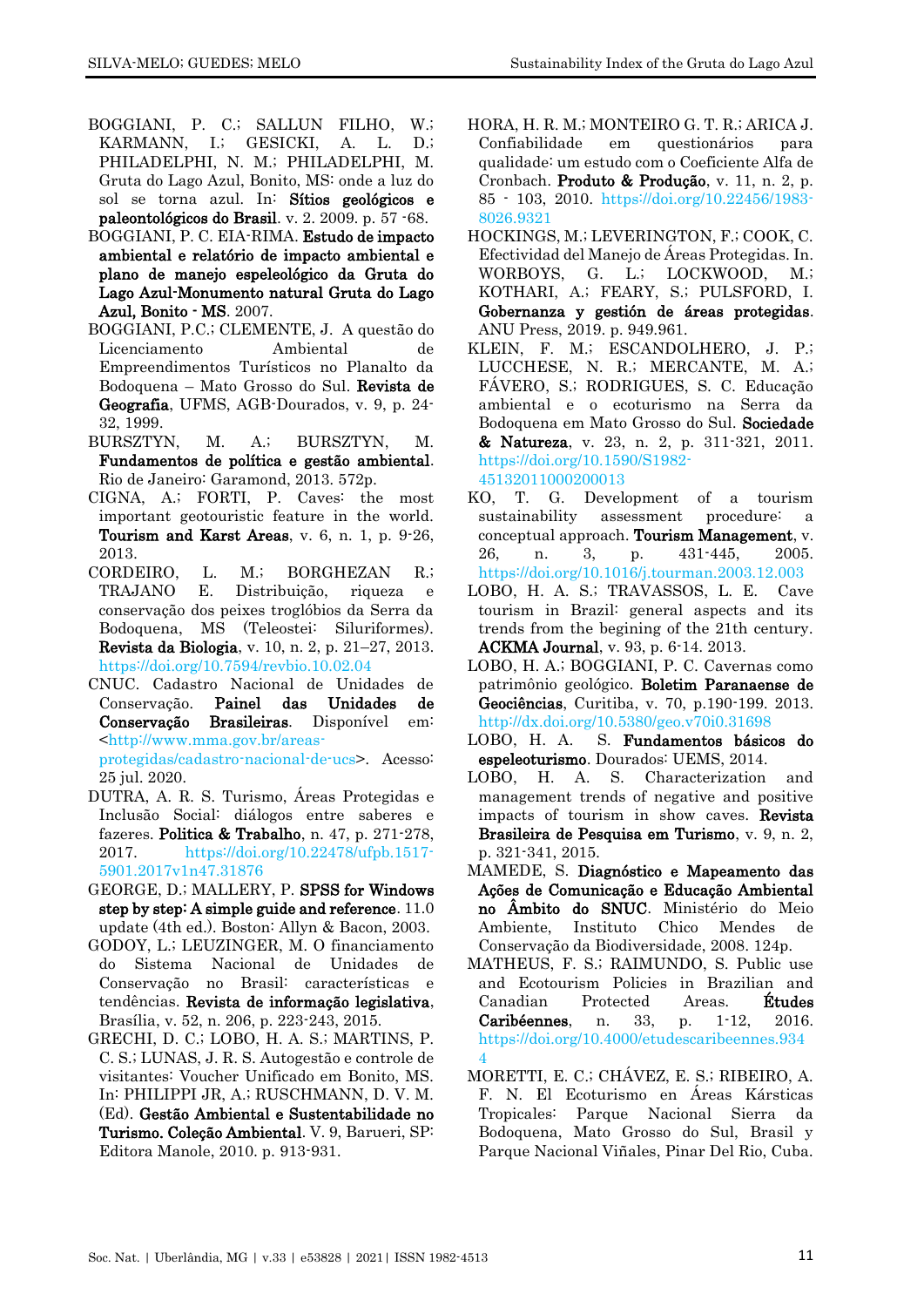- <span id="page-10-8"></span>BOGGIANI, P. C.; SALLUN FILHO, W.; KARMANN, I.; GESICKI, A. L. D.; PHILADELPHI, N. M.; PHILADELPHI, M. Gruta do Lago Azul, Bonito, MS: onde a luz do sol se torna azul. In: Sítios geológicos e paleontológicos do Brasil. v. 2. 2009. p. 57 -68.
- <span id="page-10-15"></span>BOGGIANI, P. C. EIA-RIMA. Estudo de impacto ambiental e relatório de impacto ambiental e plano de manejo espeleológico da Gruta do Lago Azul-Monumento natural Gruta do Lago Azul, Bonito - MS. 2007.
- <span id="page-10-16"></span>BOGGIANI, P.C.; CLEMENTE, J. A questão do Licenciamento Ambiental de Empreendimentos Turísticos no Planalto da Bodoquena – Mato Grosso do Sul. Revista de Geografia, UFMS, AGB-Dourados, v. 9, p. 24- 32, 1999.
- <span id="page-10-21"></span>BURSZTYN, M. A.; BURSZTYN, M. Fundamentos de política e gestão ambiental. Rio de Janeiro: Garamond, 2013. 572p.
- <span id="page-10-1"></span>CIGNA, A.; FORTI, P. Caves: the most important geotouristic feature in the world. Tourism and Karst Areas, v. 6, n. 1, p. 9-26, 2013.
- <span id="page-10-6"></span>CORDEIRO, L. M.; BORGHEZAN R.; TRAJANO E. Distribuição, riqueza e conservação dos peixes troglóbios da Serra da Bodoquena, MS (Teleostei: Siluriformes). Revista da Biologia, v. 10, n. 2, p. 21–27, 2013. https://doi.org/10.7594/revbio.10.02.04
- <span id="page-10-14"></span>CNUC. Cadastro Nacional de Unidades de Conservação. Painel das Unidades de Conservação Brasileiras. Disponível em: [<http://www.mma.gov.br/areas](http://www.mma.gov.br/areas-protegidas/cadastro-nacional-de-ucs)[protegidas/cadastro-nacional-de-ucs>](http://www.mma.gov.br/areas-protegidas/cadastro-nacional-de-ucs). Acesso: 25 jul. 2020.
- <span id="page-10-19"></span>DUTRA, A. R. S. Turismo, Áreas Protegidas e Inclusão Social: diálogos entre saberes e fazeres. Politica & Trabalho, n. 47, p. 271-278, 2017. https://doi.org/10.22478/ufpb.1517- 5901.2017v1n47.31876
- <span id="page-10-12"></span>GEORGE, D.; MALLERY, P. SPSS for Windows step by step: A simple guide and reference. 11.0 update (4th ed.). Boston: Allyn & Bacon, 2003.
- <span id="page-10-20"></span>GODOY, L.; LEUZINGER, M. O financiamento do Sistema Nacional de Unidades de Conservação no Brasil: características e tendências. Revista de informação legislativa, Brasília, v. 52, n. 206, p. 223-243, 2015.
- <span id="page-10-7"></span>GRECHI, D. C.; LOBO, H. A. S.; MARTINS, P. C. S.; LUNAS, J. R. S. Autogestão e controle de visitantes: Voucher Unificado em Bonito, MS. In: PHILIPPI JR, A.; RUSCHMANN, D. V. M. (Ed). Gestão Ambiental e Sustentabilidade no Turismo. Coleção Ambiental. V. 9, Barueri, SP: Editora Manole, 2010. p. 913-931.
- <span id="page-10-11"></span>HORA, H. R. M.; MONTEIRO G. T. R.; ARICA J. Confiabilidade em questionários para qualidade: um estudo com o Coeficiente Alfa de Cronbach. Produto & Produção, v. 11, n. 2, p. 85 - 103, 2010. [https://doi.org/10.22456/1983-](https://doi.org/10.22456/1983-8026.9321) [8026.9321](https://doi.org/10.22456/1983-8026.9321)
- <span id="page-10-13"></span>HOCKINGS, M.; LEVERINGTON, F.; COOK, C. Efectividad del Manejo de Áreas Protegidas. In. WORBOYS, G. L.; LOCKWOOD, M.; KOTHARI, A.; FEARY, S.; PULSFORD, I. Gobernanza y gestión de áreas protegidas. ANU Press, 2019. p. 949.961.
- <span id="page-10-18"></span>KLEIN, F. M.; ESCANDOLHERO, J. P.; LUCCHESE, N. R.; MERCANTE, M. A.; FÁVERO, S.; RODRIGUES, S. C. Educação ambiental e o ecoturismo na Serra da Bodoquena em Mato Grosso do Sul. Sociedade & Natureza, v. 23, n. 2, p. 311-321, 2011. https://doi.org/10.1590/S1982- 45132011000200013
- <span id="page-10-10"></span>KO, T. G. Development of a tourism sustainability assessment procedure: a conceptual approach. Tourism Management, v. 26, n. 3, p. 431-445, 2005. https://doi.org/10.1016/j.tourman.2003.12.003
- <span id="page-10-4"></span>LOBO, H. A. S.; TRAVASSOS, L. E. Cave tourism in Brazil: general aspects and its trends from the begining of the 21th century. ACKMA Journal, v. 93, p. 6-14. 2013.
- <span id="page-10-0"></span>LOBO, H. A.; BOGGIANI, P. C. Cavernas como patrimônio geológico. Boletim Paranaense de Geociências, Curitiba, v. 70, p.190-199. 2013. http://dx.doi.org/10.5380/geo.v70i0.31698
- <span id="page-10-2"></span>LOBO, H. A. S. Fundamentos básicos do espeleoturismo. Dourados: UEMS, 2014.
- <span id="page-10-5"></span>LOBO, H. A. S. Characterization and management trends of negative and positive impacts of tourism in show caves. Revista Brasileira de Pesquisa em Turismo, v. 9, n. 2, p. 321-341, 2015.
- <span id="page-10-17"></span>MAMEDE, S. Diagnóstico e Mapeamento das Ações de Comunicação e Educação Ambiental no Âmbito do SNUC. Ministério do Meio Ambiente, Instituto Chico Mendes de Conservação da Biodiversidade, 2008. 124p.
- <span id="page-10-9"></span>MATHEUS, F. S.; RAIMUNDO, S. Public use and Ecotourism Policies in Brazilian and Canadian Protected Areas. Études Caribéennes, n. 33, p. 1-12, 2016. [https://doi.org/10.4000/etudescaribeennes.934](https://doi.org/10.4000/etudescaribeennes.9344) [4](https://doi.org/10.4000/etudescaribeennes.9344)
- <span id="page-10-3"></span>MORETTI, E. C.; CHÁVEZ, E. S.; RIBEIRO, A. F. N. El Ecoturismo en Áreas Kársticas Tropicales: Parque Nacional Sierra da Bodoquena, Mato Grosso do Sul, Brasil y Parque Nacional Viñales, Pinar Del Rio, Cuba.